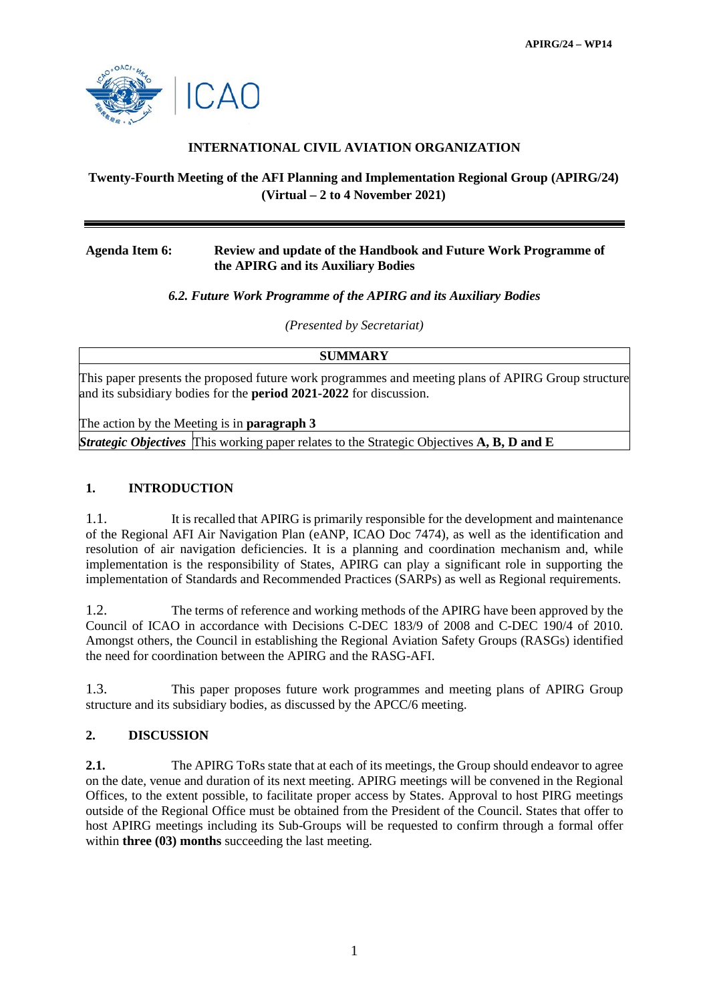

# **INTERNATIONAL CIVIL AVIATION ORGANIZATION**

# **Twenty-Fourth Meeting of the AFI Planning and Implementation Regional Group (APIRG/24) (Virtual – 2 to 4 November 2021)**

### **Agenda Item 6: Review and update of the Handbook and Future Work Programme of the APIRG and its Auxiliary Bodies**

## *6.2. Future Work Programme of the APIRG and its Auxiliary Bodies*

*(Presented by Secretariat)*

**SUMMARY**

This paper presents the proposed future work programmes and meeting plans of APIRG Group structure and its subsidiary bodies for the **period 2021-2022** for discussion.

The action by the Meeting is in **paragraph 3**

*Strategic Objectives* This working paper relates to the Strategic Objectives **A, B, D and E**

#### **1. INTRODUCTION**

1.1. It is recalled that APIRG is primarily responsible for the development and maintenance of the Regional AFI Air Navigation Plan (eANP, ICAO Doc 7474), as well as the identification and resolution of air navigation deficiencies. It is a planning and coordination mechanism and, while implementation is the responsibility of States, APIRG can play a significant role in supporting the implementation of Standards and Recommended Practices (SARPs) as well as Regional requirements.

1.2. The terms of reference and working methods of the APIRG have been approved by the Council of ICAO in accordance with Decisions C-DEC 183/9 of 2008 and C-DEC 190/4 of 2010. Amongst others, the Council in establishing the Regional Aviation Safety Groups (RASGs) identified the need for coordination between the APIRG and the RASG-AFI.

1.3. This paper proposes future work programmes and meeting plans of APIRG Group structure and its subsidiary bodies, as discussed by the APCC/6 meeting.

#### **2. DISCUSSION**

**2.1.** The APIRG ToRs state that at each of its meetings, the Group should endeavor to agree on the date, venue and duration of its next meeting. APIRG meetings will be convened in the Regional Offices, to the extent possible, to facilitate proper access by States. Approval to host PIRG meetings outside of the Regional Office must be obtained from the President of the Council. States that offer to host APIRG meetings including its Sub-Groups will be requested to confirm through a formal offer within **three (03) months** succeeding the last meeting.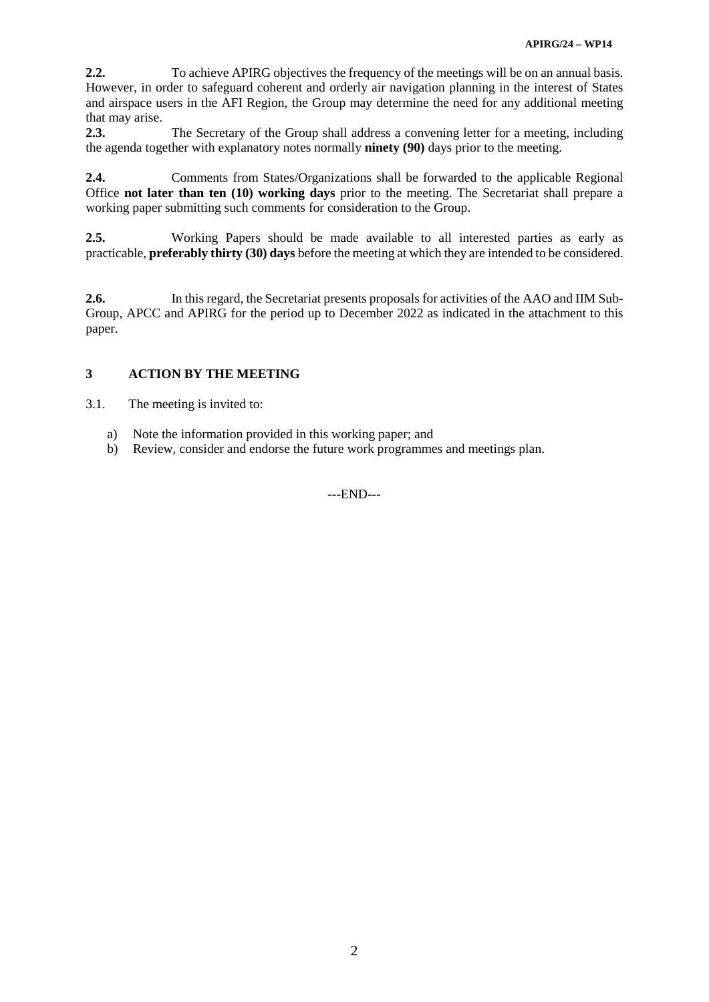**2.2.** To achieve APIRG objectives the frequency of the meetings will be on an annual basis. However, in order to safeguard coherent and orderly air navigation planning in the interest of States and airspace users in the AFI Region, the Group may determine the need for any additional meeting that may arise.

**2.3.** The Secretary of the Group shall address a convening letter for a meeting, including the agenda together with explanatory notes normally **ninety (90)** days prior to the meeting.

**2.4.** Comments from States/Organizations shall be forwarded to the applicable Regional Office **not later than ten (10) working days** prior to the meeting. The Secretariat shall prepare a working paper submitting such comments for consideration to the Group.

**2.5.** Working Papers should be made available to all interested parties as early as practicable, **preferably thirty (30) days** before the meeting at which they are intended to be considered.

**2.6.** In this regard, the Secretariat presents proposals for activities of the AAO and IIM Sub-Group, APCC and APIRG for the period up to December 2022 as indicated in the attachment to this paper.

# **3 ACTION BY THE MEETING**

3.1. The meeting is invited to:

- a) Note the information provided in this working paper; and
- b) Review, consider and endorse the future work programmes and meetings plan.

---END---